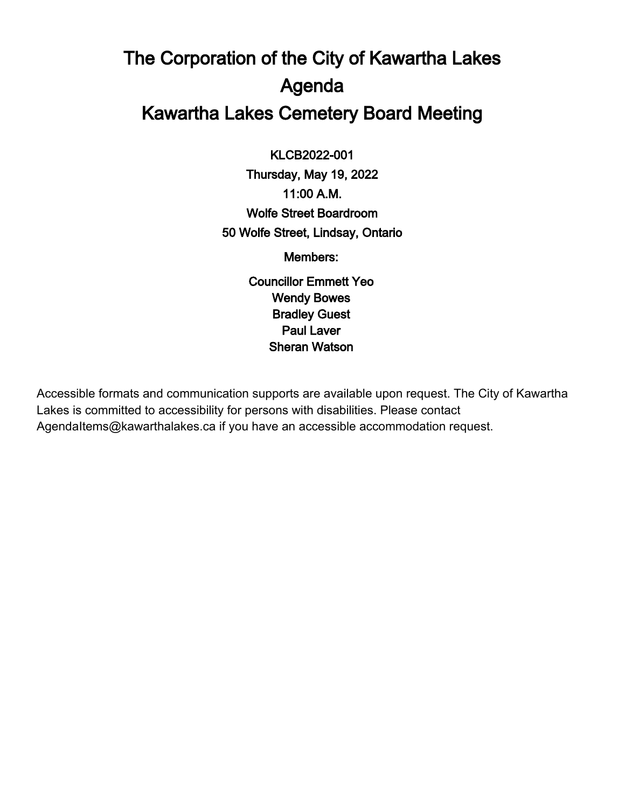# The Corporation of the City of Kawartha Lakes Agenda Kawartha Lakes Cemetery Board Meeting

 $\overline{a}$ KLCB2022-001 Thursday, May 19, 2022 11:00 A.M. Wolfe Street Boardroom 50 Wolfe Street, Lindsay, Ontario

Members:

Councillor Emmett Yeo Wendy Bowes Bradley Guest Paul Laver Sheran Watson

Accessible formats and communication supports are available upon request. The City of Kawartha Lakes is committed to accessibility for persons with disabilities. Please contact AgendaItems@kawarthalakes.ca if you have an accessible accommodation request.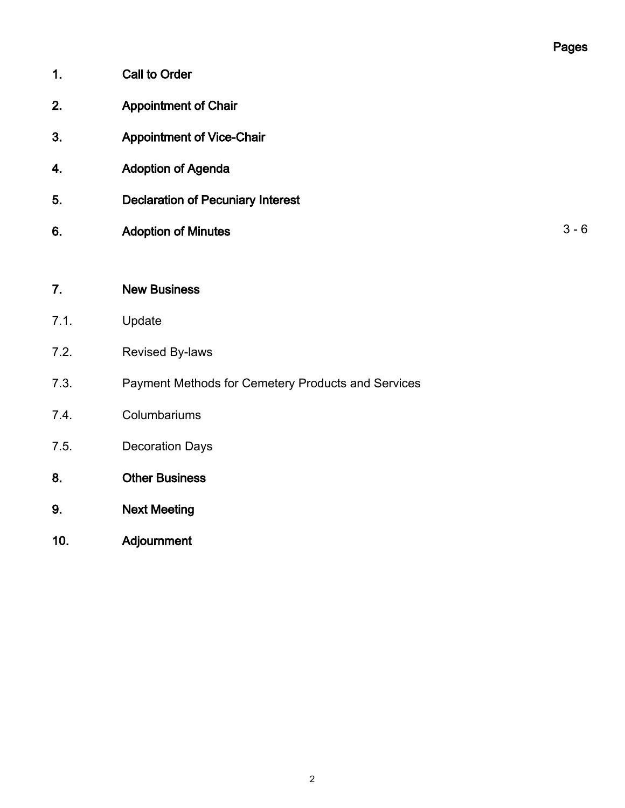| 1. | <b>Call to Order</b>                     |         |
|----|------------------------------------------|---------|
| 2. | <b>Appointment of Chair</b>              |         |
| 3. | <b>Appointment of Vice-Chair</b>         |         |
| 4. | <b>Adoption of Agenda</b>                |         |
| 5. | <b>Declaration of Pecuniary Interest</b> |         |
| 6. | <b>Adoption of Minutes</b>               | $3 - 6$ |
|    |                                          |         |
| 7. | <b>New Business</b>                      |         |

- 7.1. Update
- 7.2. Revised By-laws
- 7.3. Payment Methods for Cemetery Products and Services
- 7.4. Columbariums
- 7.5. Decoration Days
- 8. Other Business
- 9. Next Meeting
- 10. Adjournment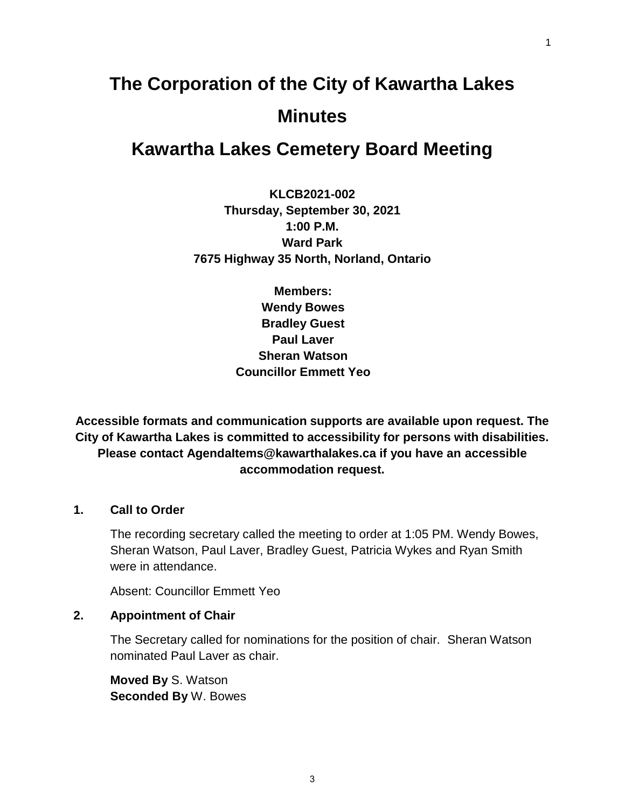# **The Corporation of the City of Kawartha Lakes Minutes**

# **Kawartha Lakes Cemetery Board Meeting**

**KLCB2021-002 Thursday, September 30, 2021 1:00 P.M. Ward Park 7675 Highway 35 North, Norland, Ontario**

> **Members: Wendy Bowes Bradley Guest Paul Laver Sheran Watson Councillor Emmett Yeo**

**Accessible formats and communication supports are available upon request. The City of Kawartha Lakes is committed to accessibility for persons with disabilities. Please contact AgendaItems@kawarthalakes.ca if you have an accessible accommodation request.** 

#### **1. Call to Order**

The recording secretary called the meeting to order at 1:05 PM. Wendy Bowes, Sheran Watson, Paul Laver, Bradley Guest, Patricia Wykes and Ryan Smith were in attendance.

Absent: Councillor Emmett Yeo

# **2. Appointment of Chair**

The Secretary called for nominations for the position of chair. Sheran Watson nominated Paul Laver as chair.

**Moved By** S. Watson **Seconded By** W. Bowes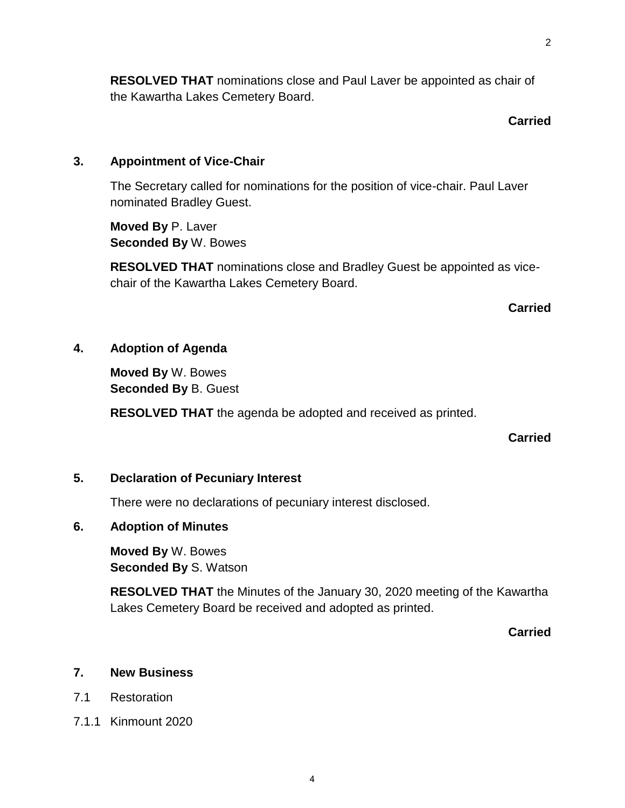**RESOLVED THAT** nominations close and Paul Laver be appointed as chair of the Kawartha Lakes Cemetery Board.

#### **Carried**

#### **3. Appointment of Vice-Chair**

The Secretary called for nominations for the position of vice-chair. Paul Laver nominated Bradley Guest.

**Moved By** P. Laver **Seconded By** W. Bowes

**RESOLVED THAT** nominations close and Bradley Guest be appointed as vicechair of the Kawartha Lakes Cemetery Board.

#### **Carried**

#### **4. Adoption of Agenda**

**Moved By** W. Bowes **Seconded By** B. Guest

**RESOLVED THAT** the agenda be adopted and received as printed.

#### **Carried**

#### **5. Declaration of Pecuniary Interest**

There were no declarations of pecuniary interest disclosed.

#### **6. Adoption of Minutes**

**Moved By** W. Bowes **Seconded By** S. Watson

**RESOLVED THAT** the Minutes of the January 30, 2020 meeting of the Kawartha Lakes Cemetery Board be received and adopted as printed.

**Carried**

#### **7. New Business**

- 7.1 Restoration
- 7.1.1 Kinmount 2020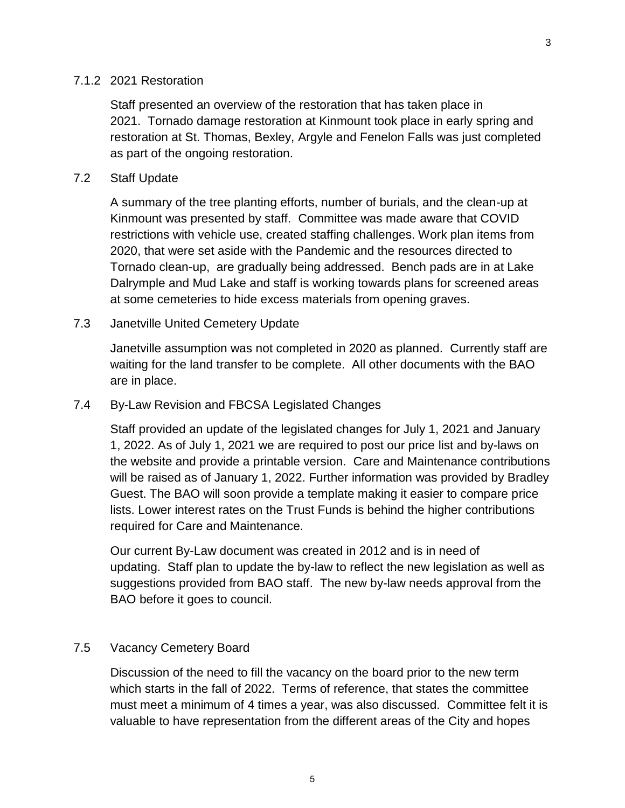# 7.1.2 2021 Restoration

Staff presented an overview of the restoration that has taken place in 2021. Tornado damage restoration at Kinmount took place in early spring and restoration at St. Thomas, Bexley, Argyle and Fenelon Falls was just completed as part of the ongoing restoration.

# 7.2 Staff Update

A summary of the tree planting efforts, number of burials, and the clean-up at Kinmount was presented by staff. Committee was made aware that COVID restrictions with vehicle use, created staffing challenges. Work plan items from 2020, that were set aside with the Pandemic and the resources directed to Tornado clean-up, are gradually being addressed. Bench pads are in at Lake Dalrymple and Mud Lake and staff is working towards plans for screened areas at some cemeteries to hide excess materials from opening graves.

# 7.3 Janetville United Cemetery Update

Janetville assumption was not completed in 2020 as planned. Currently staff are waiting for the land transfer to be complete. All other documents with the BAO are in place.

# 7.4 By-Law Revision and FBCSA Legislated Changes

Staff provided an update of the legislated changes for July 1, 2021 and January 1, 2022. As of July 1, 2021 we are required to post our price list and by-laws on the website and provide a printable version. Care and Maintenance contributions will be raised as of January 1, 2022. Further information was provided by Bradley Guest. The BAO will soon provide a template making it easier to compare price lists. Lower interest rates on the Trust Funds is behind the higher contributions required for Care and Maintenance.

Our current By-Law document was created in 2012 and is in need of updating. Staff plan to update the by-law to reflect the new legislation as well as suggestions provided from BAO staff. The new by-law needs approval from the BAO before it goes to council.

# 7.5 Vacancy Cemetery Board

Discussion of the need to fill the vacancy on the board prior to the new term which starts in the fall of 2022. Terms of reference, that states the committee must meet a minimum of 4 times a year, was also discussed. Committee felt it is valuable to have representation from the different areas of the City and hopes